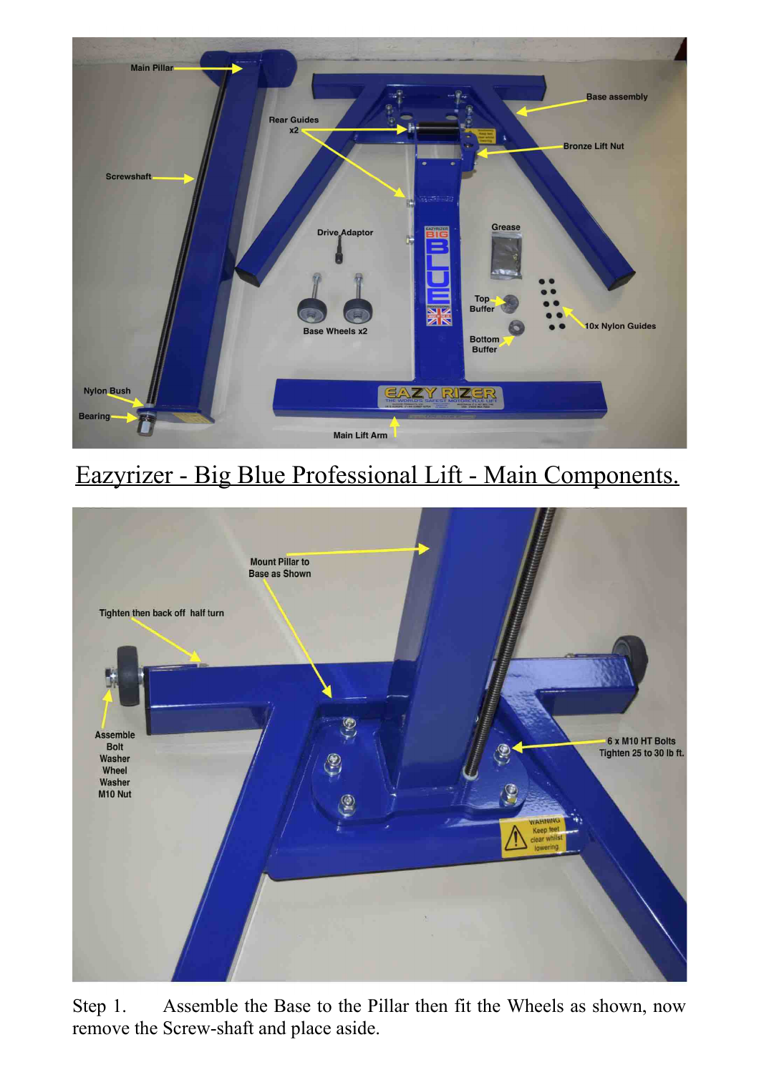

## Eazyrizer - Big Blue Professional Lift - Main Components.



Step 1. Assemble the Base to the Pillar then fit the Wheels as shown, now remove the Screw-shaft and place aside.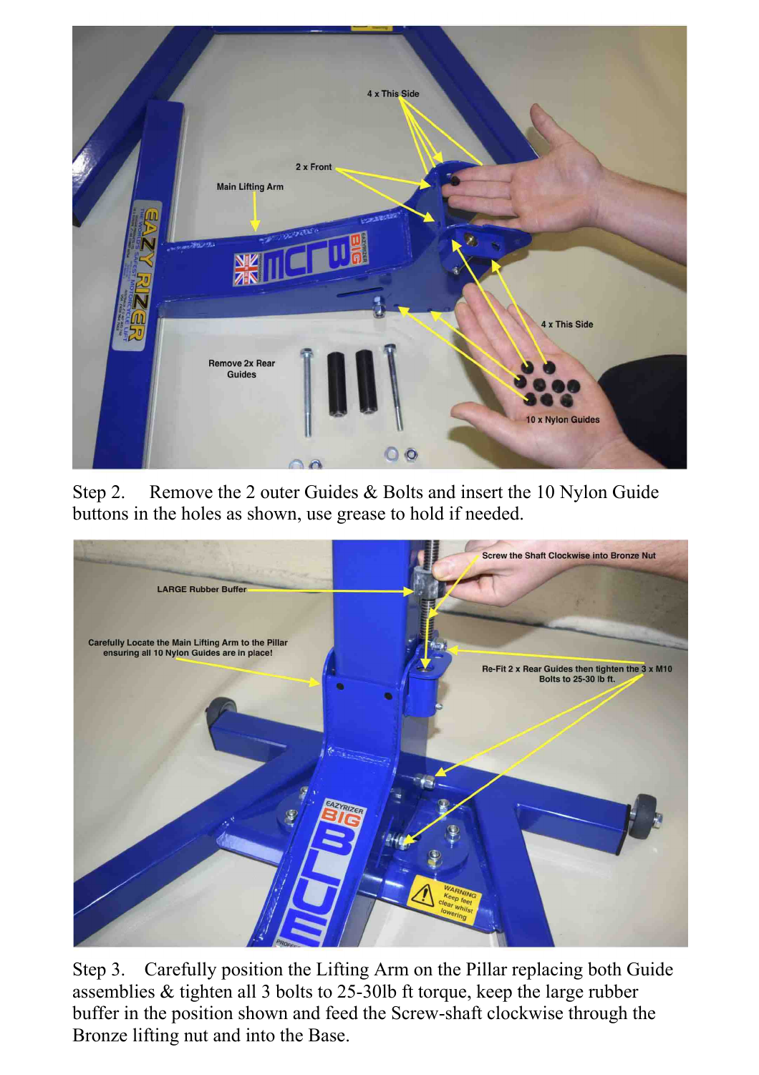

Step 2. Remove the 2 outer Guides & Bolts and insert the 10 Nylon Guide buttons in the holes as shown, use grease to hold if needed.



Step 3. Carefully position the Lifting Arm on the Pillar replacing both Guide assemblies & tighten all 3 bolts to 25-30lb ft torque, keep the large rubber buffer in the position shown and feed the Screw-shaft clockwise through the Bronze lifting nut and into the Base.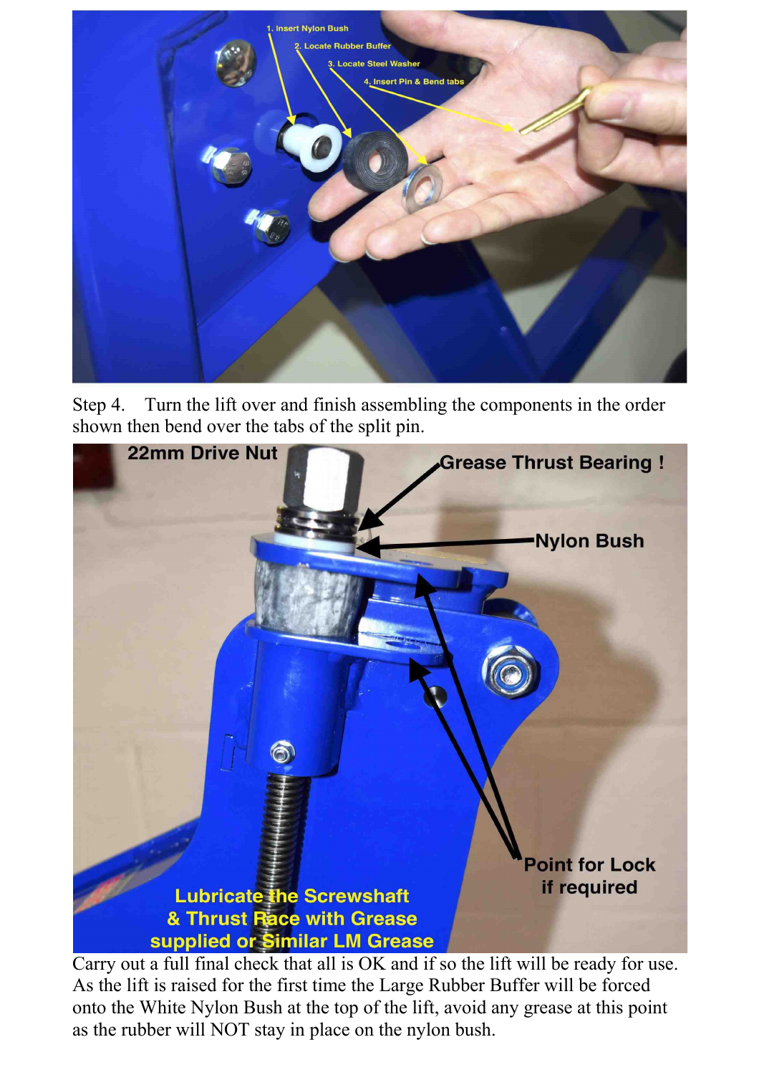

Step 4. Turn the lift over and finish assembling the components in the order shown then bend over the tabs of the split pin.



Carry out a full final check that all is OK and if so the lift will be ready for use. As the lift is raised for the first time the Large Rubber Buffer will be forced onto the White Nylon Bush at the top of the lift, avoid any grease at this point as the rubber will NOT stay in place on the nylon bush.